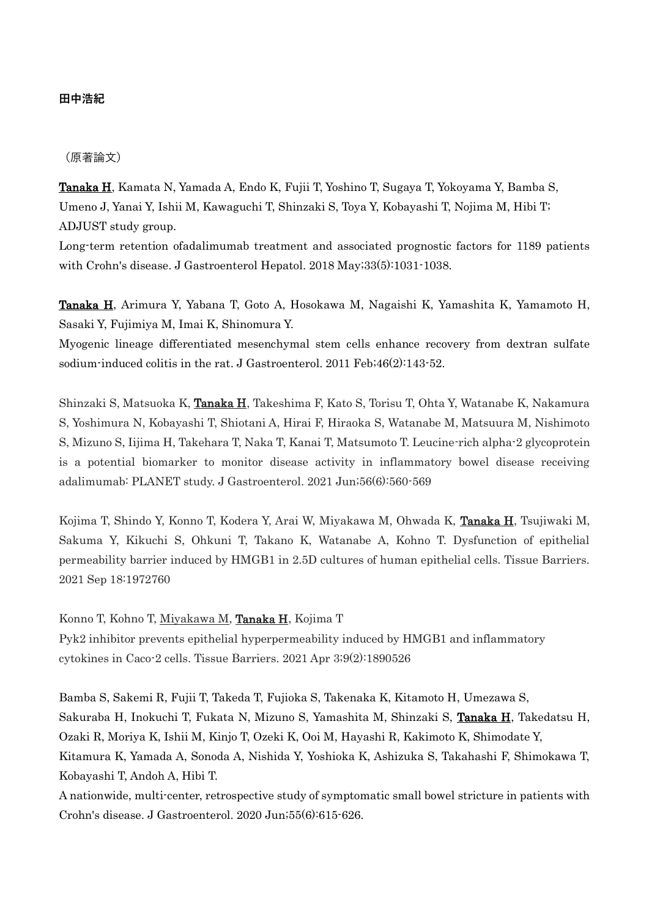### **田中浩紀**

#### (原著論文)

Tanaka H, Kamata N, Yamada A, Endo K, Fujii T, Yoshino T, Sugaya T, Yokoyama Y, Bamba S, Umeno J, Yanai Y, Ishii M, Kawaguchi T, Shinzaki S, Toya Y, Kobayashi T, Nojima M, Hibi T; ADJUST study group.

Long-term retention ofadalimumab treatment and associated prognostic factors for 1189 patients with Crohn's disease. J Gastroenterol Hepatol. 2018 May;33(5):1031-1038.

Tanaka H, Arimura Y, Yabana T, Goto A, Hosokawa M, Nagaishi K, Yamashita K, Yamamoto H, Sasaki Y, Fujimiya M, Imai K, Shinomura Y.

Myogenic lineage differentiated mesenchymal stem cells enhance recovery from dextran sulfate sodium-induced colitis in the rat. J Gastroenterol. 2011 Feb;46(2):143-52.

Shinzaki S, Matsuoka K, Tanaka H, Takeshima F, Kato S, Torisu T, Ohta Y, Watanabe K, Nakamura S, Yoshimura N, Kobayashi T, Shiotani A, Hirai F, Hiraoka S, Watanabe M, Matsuura M, Nishimoto S, Mizuno S, Iijima H, Takehara T, Naka T, Kanai T, Matsumoto T. Leucine-rich alpha-2 glycoprotein is a potential biomarker to monitor disease activity in inflammatory bowel disease receiving adalimumab: PLANET study. J Gastroenterol. 2021 Jun;56(6):560-569

Kojima T, Shindo Y, Konno T, Kodera Y, Arai W, Miyakawa M, Ohwada K, Tanaka H, Tsujiwaki M, Sakuma Y, Kikuchi S, Ohkuni T, Takano K, Watanabe A, Kohno T. Dysfunction of epithelial permeability barrier induced by HMGB1 in 2.5D cultures of human epithelial cells. Tissue Barriers. 2021 Sep 18:1972760

Konno T, Kohno T, Miyakawa M, Tanaka H, Kojima T

Pyk2 inhibitor prevents epithelial hyperpermeability induced by HMGB1 and inflammatory cytokines in Caco-2 cells. Tissue Barriers. 2021 Apr 3;9(2):1890526

Bamba S, Sakemi R, Fujii T, Takeda T, Fujioka S, Takenaka K, Kitamoto H, Umezawa S, Sakuraba H, Inokuchi T, Fukata N, Mizuno S, Yamashita M, Shinzaki S, Tanaka H, Takedatsu H, Ozaki R, Moriya K, Ishii M, Kinjo T, Ozeki K, Ooi M, Hayashi R, Kakimoto K, Shimodate Y, Kitamura K, Yamada A, Sonoda A, Nishida Y, Yoshioka K, Ashizuka S, Takahashi F, Shimokawa T, Kobayashi T, Andoh A, Hibi T.

A nationwide, multi-center, retrospective study of symptomatic small bowel stricture in patients with Crohn's disease. J Gastroenterol. 2020 Jun;55(6):615-626.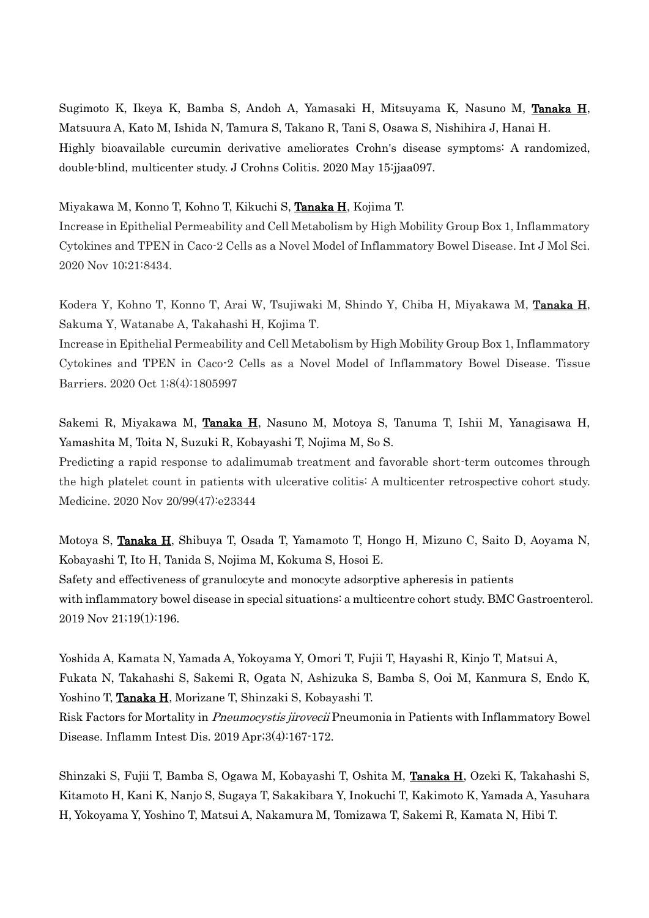Sugimoto K, Ikeya K, Bamba S, Andoh A, Yamasaki H, Mitsuyama K, Nasuno M, Tanaka H, Matsuura A, Kato M, Ishida N, Tamura S, Takano R, Tani S, Osawa S, Nishihira J, Hanai H. Highly bioavailable curcumin derivative ameliorates Crohn's disease symptoms: A randomized, double-blind, multicenter study. J Crohns Colitis. 2020 May 15:jjaa097.

Miyakawa M, Konno T, Kohno T, Kikuchi S, Tanaka H, Kojima T.

Increase in Epithelial Permeability and Cell Metabolism by High Mobility Group Box 1, Inflammatory Cytokines and TPEN in Caco-2 Cells as a Novel Model of Inflammatory Bowel Disease. Int J Mol Sci. 2020 Nov 10;21:8434.

Kodera Y, Kohno T, Konno T, Arai W, Tsujiwaki M, Shindo Y, Chiba H, Miyakawa M, Tanaka H, Sakuma Y, Watanabe A, Takahashi H, Kojima T.

Increase in Epithelial Permeability and Cell Metabolism by High Mobility Group Box 1, Inflammatory Cytokines and TPEN in Caco-2 Cells as a Novel Model of Inflammatory Bowel Disease. Tissue Barriers. 2020 Oct 1;8(4):1805997

Sakemi R, Miyakawa M, Tanaka H, Nasuno M, Motoya S, Tanuma T, Ishii M, Yanagisawa H, Yamashita M, Toita N, Suzuki R, Kobayashi T, Nojima M, So S.

Predicting a rapid response to adalimumab treatment and favorable short-term outcomes through the high platelet count in patients with ulcerative colitis: A multicenter retrospective cohort study. Medicine. 2020 Nov 20/99(47):e23344

Motoya S, Tanaka H, Shibuya T, Osada T, Yamamoto T, Hongo H, Mizuno C, Saito D, Aoyama N, Kobayashi T, Ito H, Tanida S, Nojima M, Kokuma S, Hosoi E. Safety and effectiveness of granulocyte and monocyte adsorptive apheresis in patients with inflammatory bowel disease in special situations: a multicentre cohort study. BMC Gastroenterol. 2019 Nov 21;19(1):196.

Yoshida A, Kamata N, Yamada A, Yokoyama Y, Omori T, Fujii T, Hayashi R, Kinjo T, Matsui A, Fukata N, Takahashi S, Sakemi R, Ogata N, Ashizuka S, Bamba S, Ooi M, Kanmura S, Endo K, Yoshino T, Tanaka H, Morizane T, Shinzaki S, Kobayashi T. Risk Factors for Mortality in Pneumocystis jirovecii Pneumonia in Patients with Inflammatory Bowel Disease. Inflamm Intest Dis. 2019 Apr;3(4):167-172.

Shinzaki S, Fujii T, Bamba S, Ogawa M, Kobayashi T, Oshita M, Tanaka H, Ozeki K, Takahashi S, Kitamoto H, Kani K, Nanjo S, Sugaya T, Sakakibara Y, Inokuchi T, Kakimoto K, Yamada A, Yasuhara H, Yokoyama Y, Yoshino T, Matsui A, Nakamura M, Tomizawa T, Sakemi R, Kamata N, Hibi T.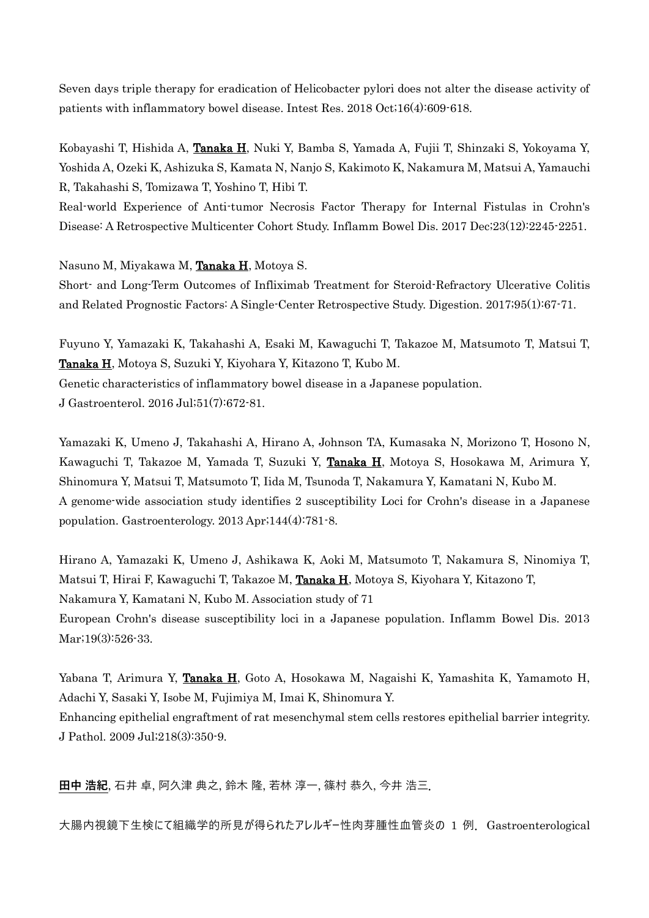Seven days triple therapy for eradication of Helicobacter pylori does not alter the disease activity of patients with inflammatory bowel disease. Intest Res. 2018 Oct;16(4):609-618.

Kobayashi T, Hishida A, Tanaka H, Nuki Y, Bamba S, Yamada A, Fujii T, Shinzaki S, Yokoyama Y, Yoshida A, Ozeki K, Ashizuka S, Kamata N, Nanjo S, Kakimoto K, Nakamura M, Matsui A, Yamauchi R, Takahashi S, Tomizawa T, Yoshino T, Hibi T.

Real-world Experience of Anti-tumor Necrosis Factor Therapy for Internal Fistulas in Crohn's Disease: A Retrospective Multicenter Cohort Study. Inflamm Bowel Dis. 2017 Dec;23(12):2245-2251.

Nasuno M, Miyakawa M, Tanaka H, Motoya S.

Short- and Long-Term Outcomes of Infliximab Treatment for Steroid-Refractory Ulcerative Colitis and Related Prognostic Factors: A Single-Center Retrospective Study. Digestion. 2017;95(1):67-71.

Fuyuno Y, Yamazaki K, Takahashi A, Esaki M, Kawaguchi T, Takazoe M, Matsumoto T, Matsui T, Tanaka H, Motoya S, Suzuki Y, Kiyohara Y, Kitazono T, Kubo M. Genetic characteristics of inflammatory bowel disease in a Japanese population. J Gastroenterol. 2016 Jul;51(7):672-81.

Yamazaki K, Umeno J, Takahashi A, Hirano A, Johnson TA, Kumasaka N, Morizono T, Hosono N, Kawaguchi T, Takazoe M, Yamada T, Suzuki Y, Tanaka H, Motoya S, Hosokawa M, Arimura Y, Shinomura Y, Matsui T, Matsumoto T, Iida M, Tsunoda T, Nakamura Y, Kamatani N, Kubo M. A genome-wide association study identifies 2 susceptibility Loci for Crohn's disease in a Japanese population. Gastroenterology. 2013 Apr;144(4):781-8.

Hirano A, Yamazaki K, Umeno J, Ashikawa K, Aoki M, Matsumoto T, Nakamura S, Ninomiya T, Matsui T, Hirai F, Kawaguchi T, Takazoe M, Tanaka H, Motoya S, Kiyohara Y, Kitazono T, Nakamura Y, Kamatani N, Kubo M. Association study of 71 European Crohn's disease susceptibility loci in a Japanese population. Inflamm Bowel Dis. 2013 Mar;19(3):526-33.

Yabana T, Arimura Y, Tanaka H, Goto A, Hosokawa M, Nagaishi K, Yamashita K, Yamamoto H, Adachi Y, Sasaki Y, Isobe M, Fujimiya M, Imai K, Shinomura Y. Enhancing epithelial engraftment of rat mesenchymal stem cells restores epithelial barrier integrity.

J Pathol. 2009 Jul;218(3):350-9.

**田中 浩紀**, 石井 卓, 阿久津 典之, 鈴木 隆, 若林 淳一, 篠村 恭久, 今井 浩三.

大腸内視鏡下生検にて組織学的所見が得られたアレルギー性肉芽腫性血管炎の 1 例.Gastroenterological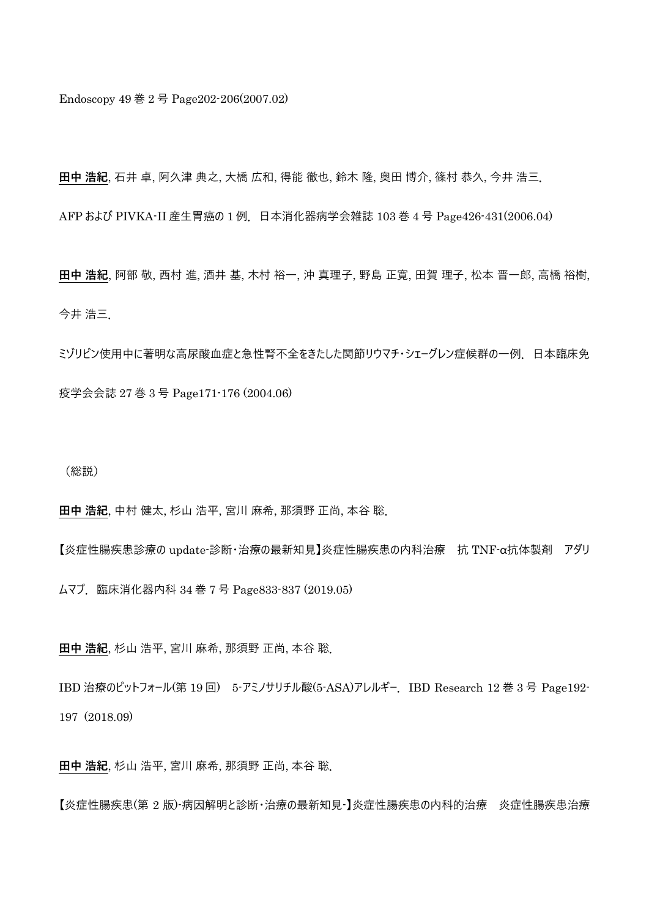Endoscopy 49 巻 2 号 Page202-206(2007.02)

**田中 浩紀**, 石井 卓, 阿久津 典之, 大橋 広和, 得能 徹也, 鈴木 隆, 奥田 博介, 篠村 恭久, 今井 浩三.

AFP および PIVKA-II 産生胃癌の 1 例. 日本消化器病学会雑誌 103 巻 4 号 Page426-431(2006.04)

**田中 浩紀**, 阿部 敬, 西村 進, 酒井 基, 木村 裕一, 沖 真理子, 野島 正寛, 田賀 理子, 松本 晋一郎, 高橋 裕樹, 今井 浩三.

ミゾリビン使用中に著明な高尿酸血症と急性腎不全をきたした関節リウマチ・シェーグレン症候群の一例.日本臨床免 疫学会会誌 27 巻 3 号 Page171-176 (2004.06)

(総説)

**田中 浩紀**, 中村 健太, 杉山 浩平, 宮川 麻希, 那須野 正尚, 本谷 聡.

【炎症性腸疾患診療の update-診断・治療の最新知見】炎症性腸疾患の内科治療 抗 TNF-α抗体製剤 アダリ

ムマブ.臨床消化器内科 34 巻 7 号 Page833-837 (2019.05)

**田中 浩紀**, 杉山 浩平, 宮川 麻希, 那須野 正尚, 本谷 聡.

IBD 治療のピットフォール(第 19 回) 5-アミノサリチル酸(5-ASA)アレルギー.IBD Research 12 巻 3 号 Page192- 197 (2018.09)

**田中 浩紀**, 杉山 浩平, 宮川 麻希, 那須野 正尚, 本谷 聡.

【炎症性腸疾患(第 2 版)-病因解明と診断・治療の最新知見-】炎症性腸疾患の内科的治療 炎症性腸疾患治療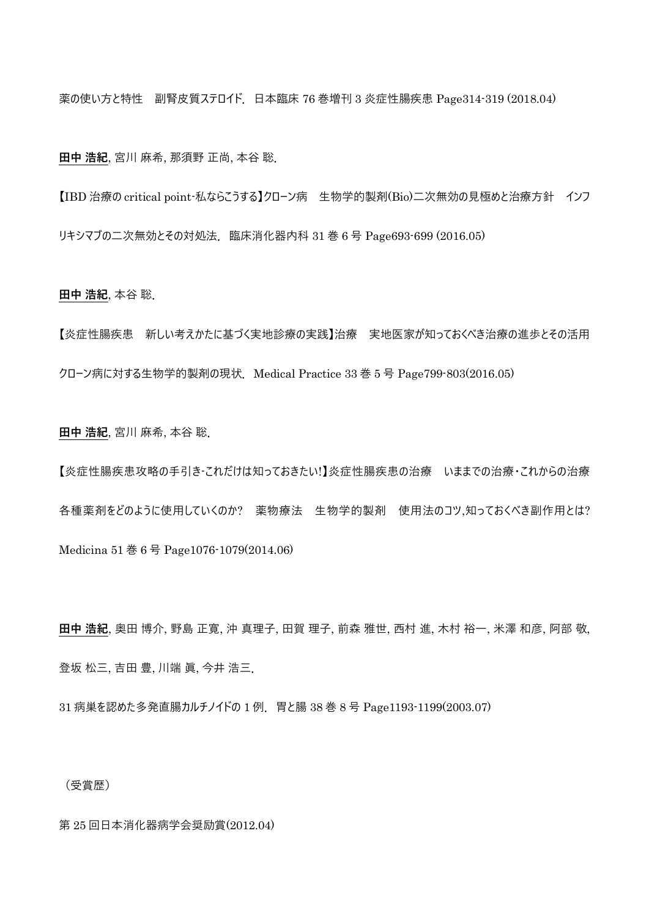薬の使い方と特性 副腎皮質ステロイド. 日本臨床 76 巻増刊 3 炎症性腸疾患 Page314-319 (2018.04)

**田中 浩紀**, 宮川 麻希, 那須野 正尚, 本谷 聡.

【IBD 治療の critical point-私ならこうする】クローン病 生物学的製剤(Bio)二次無効の見極めと治療方針 インフ リキシマブの二次無効とその対処法. 臨床消化器内科 31 巻 6 号 Page693-699 (2016.05)

**田中 浩紀**, 本谷 聡.

【炎症性腸疾患 新しい考えかたに基づく実地診療の実践】治療 実地医家が知っておくべき治療の進歩とその活用 クローン病に対する生物学的製剤の現状.Medical Practice 33 巻 5 号 Page799-803(2016.05)

**田中 浩紀**, 宮川 麻希, 本谷 聡.

【炎症性腸疾患攻略の手引き-これだけは知っておきたい!】炎症性腸疾患の治療 いままでの治療・これからの治療 各種薬剤をどのように使用していくのか? 薬物療法 生物学的製剤 使用法のコツ,知っておくべき副作用とは? Medicina 51 巻 6 号 Page1076-1079(2014.06)

**田中 浩紀**, 奥田 博介, 野島 正寛, 沖 真理子, 田賀 理子, 前森 雅世, 西村 進, 木村 裕一, 米澤 和彦, 阿部 敬, 登坂 松三, 吉田 豊, 川端 眞, 今井 浩三.

31 病巣を認めた多発直腸カルチノイドの 1 例.胃と腸 38 巻 8 号 Page1193-1199(2003.07)

(受賞歴)

第 25 回日本消化器病学会奨励賞(2012.04)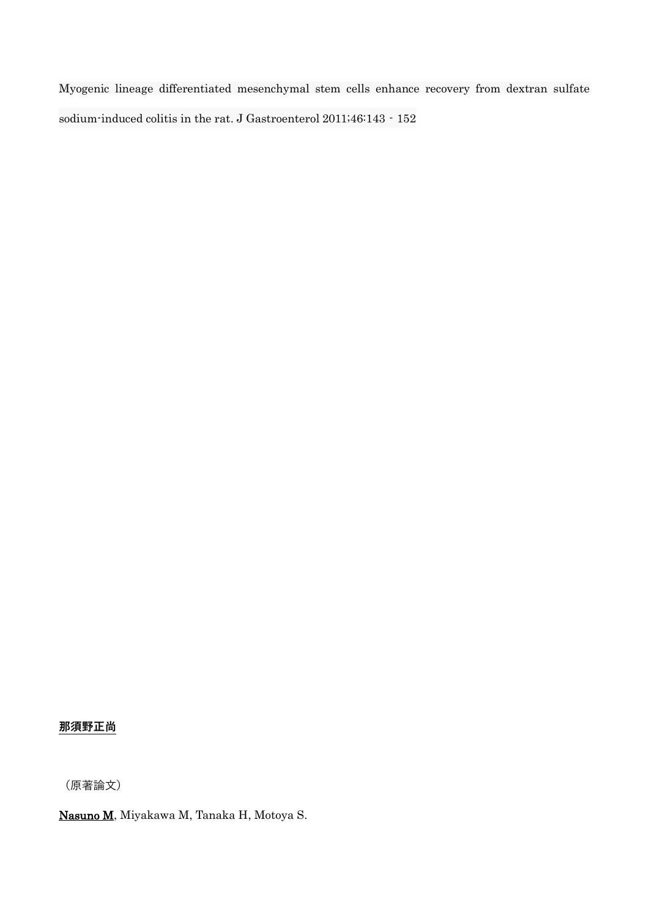Myogenic lineage differentiated mesenchymal stem cells enhance recovery from dextran sulfate sodium-induced colitis in the rat. J Gastroenterol 2011;46:143 - 152

# **那須野正尚**

(原著論文)

Nasuno M, Miyakawa M, Tanaka H, Motoya S.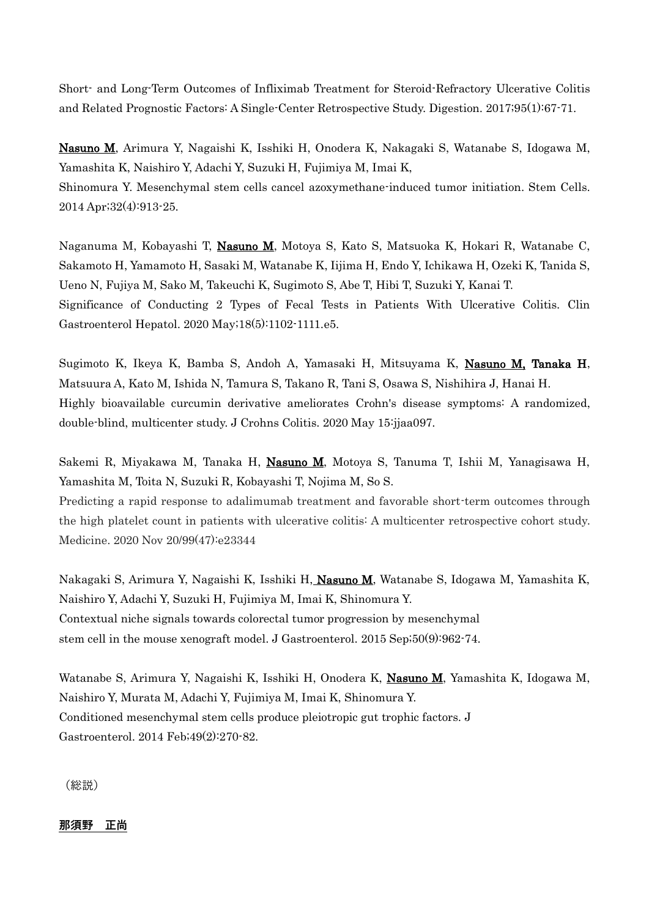Short- and Long-Term Outcomes of Infliximab Treatment for Steroid-Refractory Ulcerative Colitis and Related Prognostic Factors: A Single-Center Retrospective Study. Digestion. 2017;95(1):67-71.

Nasuno M, Arimura Y, Nagaishi K, Isshiki H, Onodera K, Nakagaki S, Watanabe S, Idogawa M, Yamashita K, Naishiro Y, Adachi Y, Suzuki H, Fujimiya M, Imai K, Shinomura Y. Mesenchymal stem cells cancel azoxymethane-induced tumor initiation. Stem Cells. 2014 Apr;32(4):913-25.

Naganuma M, Kobayashi T, Nasuno M, Motoya S, Kato S, Matsuoka K, Hokari R, Watanabe C, Sakamoto H, Yamamoto H, Sasaki M, Watanabe K, Iijima H, Endo Y, Ichikawa H, Ozeki K, Tanida S, Ueno N, Fujiya M, Sako M, Takeuchi K, Sugimoto S, Abe T, Hibi T, Suzuki Y, Kanai T. Significance of Conducting 2 Types of Fecal Tests in Patients With Ulcerative Colitis. Clin Gastroenterol Hepatol. 2020 May;18(5):1102-1111.e5.

Sugimoto K, Ikeya K, Bamba S, Andoh A, Yamasaki H, Mitsuyama K, Nasuno M, Tanaka H, Matsuura A, Kato M, Ishida N, Tamura S, Takano R, Tani S, Osawa S, Nishihira J, Hanai H. Highly bioavailable curcumin derivative ameliorates Crohn's disease symptoms: A randomized, double-blind, multicenter study. J Crohns Colitis. 2020 May 15:jjaa097.

Sakemi R, Miyakawa M, Tanaka H, Nasuno M, Motoya S, Tanuma T, Ishii M, Yanagisawa H, Yamashita M, Toita N, Suzuki R, Kobayashi T, Nojima M, So S.

Predicting a rapid response to adalimumab treatment and favorable short-term outcomes through the high platelet count in patients with ulcerative colitis: A multicenter retrospective cohort study. Medicine. 2020 Nov 20/99(47):e23344

Nakagaki S, Arimura Y, Nagaishi K, Isshiki H, Nasuno M, Watanabe S, Idogawa M, Yamashita K, Naishiro Y, Adachi Y, Suzuki H, Fujimiya M, Imai K, Shinomura Y. Contextual niche signals towards colorectal tumor progression by mesenchymal stem cell in the mouse xenograft model. J Gastroenterol. 2015 Sep;50(9):962-74.

Watanabe S, Arimura Y, Nagaishi K, Isshiki H, Onodera K, Nasuno M, Yamashita K, Idogawa M, Naishiro Y, Murata M, Adachi Y, Fujimiya M, Imai K, Shinomura Y. Conditioned mesenchymal stem cells produce pleiotropic gut trophic factors. J Gastroenterol. 2014 Feb;49(2):270-82.

(総説)

**那須野 正尚**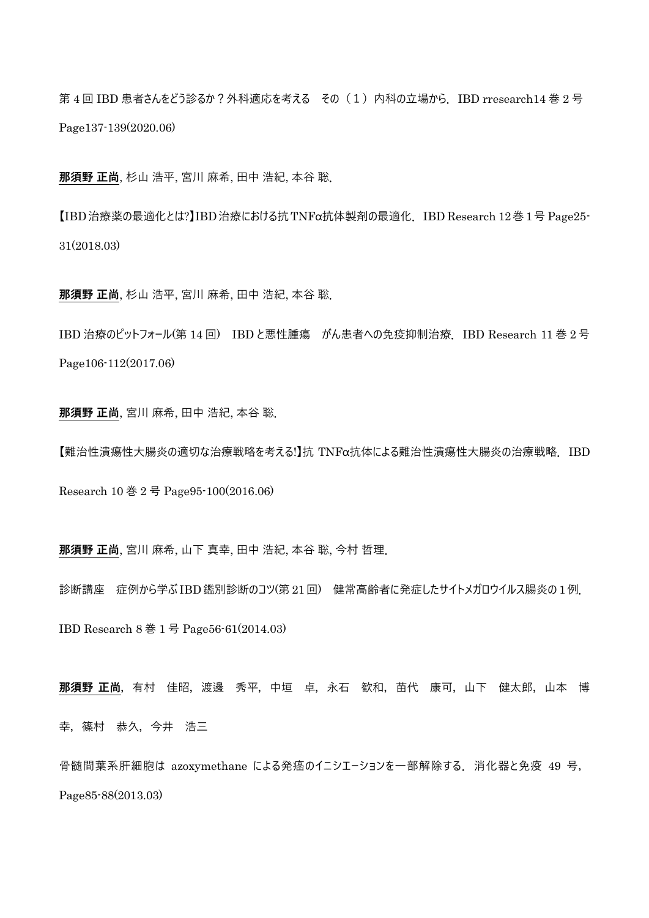第4回 IBD 患者さんをどう診るか?外科適応を考える その (1) 内科の立場から. IBD rresearch14 巻 2号 Page137-139(2020.06)

**那須野 正尚**, 杉山 浩平, 宮川 麻希, 田中 浩紀, 本谷 聡.

【IBD治療薬の最適化とは?】IBD治療における抗TNFα抗体製剤の最適化.IBD Research 12巻1号 Page25- 31(2018.03)

**那須野 正尚**, 杉山 浩平, 宮川 麻希, 田中 浩紀, 本谷 聡.

IBD 治療のピットフォール(第 14 回) IBD と悪性腫瘍 がん患者への免疫抑制治療.IBD Research 11 巻 2 号 Page106-112(2017.06)

**那須野 正尚**, 宮川 麻希, 田中 浩紀, 本谷 聡.

【難治性潰瘍性大腸炎の適切な治療戦略を考える!】抗 TNFα抗体による難治性潰瘍性大腸炎の治療戦略.IBD

Research 10 巻 2 号 Page95-100(2016.06)

**那須野 正尚**, 宮川 麻希, 山下 真幸, 田中 浩紀, 本谷 聡, 今村 哲理.

診断講座 症例から学ぶ IBD鑑別診断のコツ(第 21回) 健常高齢者に発症したサイトメガロウイルス腸炎の 1例. IBD Research 8 巻 1 号 Page56-61(2014.03)

**那須野 正尚**,有村 佳昭,渡邊 秀平,中垣 卓,永石 歓和,苗代 康可,山下 健太郎,山本 博 幸, 篠村 恭久, 今井 浩三

骨髄間葉系肝細胞は azoxymethane による発癌のイニシエーションを一部解除する. 消化器と免疫 49 号, Page85-88(2013.03)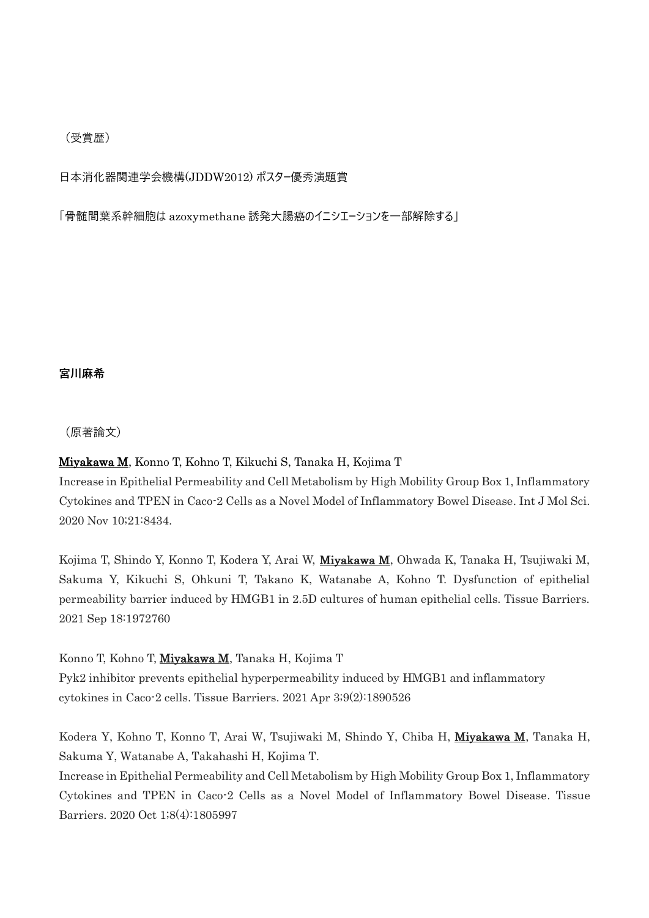### (受賞歴)

日本消化器関連学会機構(JDDW2012) ポスター優秀演題賞

「骨髄間葉系幹細胞は azoxymethane 誘発大腸癌のイニシエーションを一部解除する」

**宮川麻希**

(原著論文)

## Miyakawa M, Konno T, Kohno T, Kikuchi S, Tanaka H, Kojima T

Increase in Epithelial Permeability and Cell Metabolism by High Mobility Group Box 1, Inflammatory Cytokines and TPEN in Caco-2 Cells as a Novel Model of Inflammatory Bowel Disease. Int J Mol Sci. 2020 Nov 10;21:8434.

Kojima T, Shindo Y, Konno T, Kodera Y, Arai W, Miyakawa M, Ohwada K, Tanaka H, Tsujiwaki M, Sakuma Y, Kikuchi S, Ohkuni T, Takano K, Watanabe A, Kohno T. Dysfunction of epithelial permeability barrier induced by HMGB1 in 2.5D cultures of human epithelial cells. Tissue Barriers. 2021 Sep 18:1972760

Konno T, Kohno T, Miyakawa M, Tanaka H, Kojima T

Pyk2 inhibitor prevents epithelial hyperpermeability induced by HMGB1 and inflammatory cytokines in Caco-2 cells. Tissue Barriers. 2021 Apr 3;9(2):1890526

Kodera Y, Kohno T, Konno T, Arai W, Tsujiwaki M, Shindo Y, Chiba H, Miyakawa M, Tanaka H, Sakuma Y, Watanabe A, Takahashi H, Kojima T.

Increase in Epithelial Permeability and Cell Metabolism by High Mobility Group Box 1, Inflammatory Cytokines and TPEN in Caco-2 Cells as a Novel Model of Inflammatory Bowel Disease. Tissue Barriers. 2020 Oct 1;8(4):1805997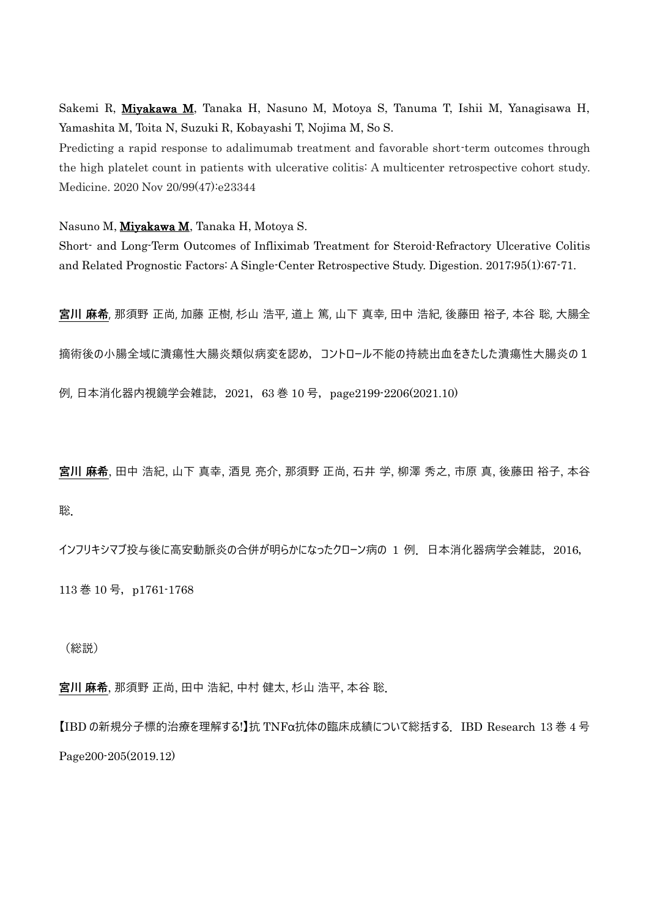Sakemi R, Miyakawa M, Tanaka H, Nasuno M, Motoya S, Tanuma T, Ishii M, Yanagisawa H, Yamashita M, Toita N, Suzuki R, Kobayashi T, Nojima M, So S.

Predicting a rapid response to adalimumab treatment and favorable short-term outcomes through the high platelet count in patients with ulcerative colitis: A multicenter retrospective cohort study. Medicine. 2020 Nov 20/99(47):e23344

Nasuno M, Miyakawa M, Tanaka H, Motoya S.

Short- and Long-Term Outcomes of Infliximab Treatment for Steroid-Refractory Ulcerative Colitis and Related Prognostic Factors: A Single-Center Retrospective Study. Digestion. 2017;95(1):67-71.

**宮川 麻希**, 那須野 正尚, 加藤 正樹, 杉山 浩平, 道上 篤, 山下 真幸, 田中 浩紀, 後藤田 裕子, 本谷 聡, 大腸全

摘術後の小腸全域に潰瘍性大腸炎類似病変を認め,コントロール不能の持続出血をきたした潰瘍性大腸炎の1

例, 日本消化器内視鏡学会雑誌, 2021, 63 巻 10 号, page2199-2206(2021.10)

**宮川 麻希**, 田中 浩紀, 山下 真幸, 酒見 亮介, 那須野 正尚, 石井 学, 柳澤 秀之, 市原 真, 後藤田 裕子, 本谷 聡.

インフリキシマブ投与後に高安動脈炎の合併が明らかになったクローン病の 1 例. 日本消化器病学会雑誌, 2016, 113 巻 10 号, p1761-1768

(総説)

**宮川 麻希**, 那須野 正尚, 田中 浩紀, 中村 健太, 杉山 浩平, 本谷 聡.

【IBD の新規分子標的治療を理解する!】抗 TNFα抗体の臨床成績について総括する.IBD Research 13 巻 4 号 Page200-205(2019.12)